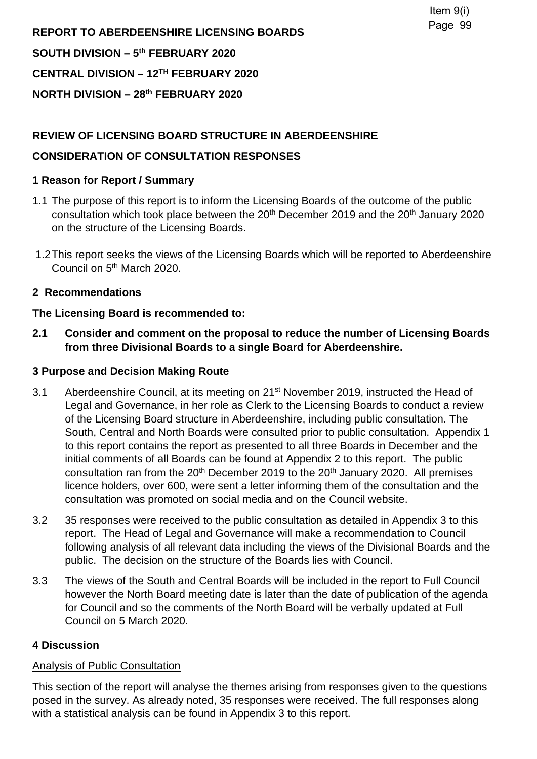**REPORT TO ABERDEENSHIRE LICENSING BOARDS SOUTH DIVISION – 5th FEBRUARY 2020 CENTRAL DIVISION – 12TH FEBRUARY 2020 NORTH DIVISION – 28th FEBRUARY 2020** 

## **REVIEW OF LICENSING BOARD STRUCTURE IN ABERDEENSHIRE**

## **CONSIDERATION OF CONSULTATION RESPONSES**

## **1 Reason for Report / Summary**

- 1.1 The purpose of this report is to inform the Licensing Boards of the outcome of the public consultation which took place between the 20<sup>th</sup> December 2019 and the 20<sup>th</sup> January 2020 on the structure of the Licensing Boards.
- 1.2 This report seeks the views of the Licensing Boards which will be reported to Aberdeenshire Council on 5th March 2020.

## **2 Recommendations**

#### **The Licensing Board is recommended to:**

**2.1 Consider and comment on the proposal to reduce the number of Licensing Boards from three Divisional Boards to a single Board for Aberdeenshire.** 

#### **3 Purpose and Decision Making Route**

- 3.1 Aberdeenshire Council, at its meeting on 21<sup>st</sup> November 2019, instructed the Head of Legal and Governance, in her role as Clerk to the Licensing Boards to conduct a review of the Licensing Board structure in Aberdeenshire, including public consultation. The South, Central and North Boards were consulted prior to public consultation. Appendix 1 to this report contains the report as presented to all three Boards in December and the initial comments of all Boards can be found at Appendix 2 to this report. The public consultation ran from the 20<sup>th</sup> December 2019 to the 20<sup>th</sup> January 2020. All premises licence holders, over 600, were sent a letter informing them of the consultation and the consultation was promoted on social media and on the Council website.
- 3.2 35 responses were received to the public consultation as detailed in Appendix 3 to this report. The Head of Legal and Governance will make a recommendation to Council following analysis of all relevant data including the views of the Divisional Boards and the public. The decision on the structure of the Boards lies with Council.
- 3.3 The views of the South and Central Boards will be included in the report to Full Council however the North Board meeting date is later than the date of publication of the agenda for Council and so the comments of the North Board will be verbally updated at Full Council on 5 March 2020.

#### **4 Discussion**

#### Analysis of Public Consultation

This section of the report will analyse the themes arising from responses given to the questions posed in the survey. As already noted, 35 responses were received. The full responses along with a statistical analysis can be found in Appendix 3 to this report.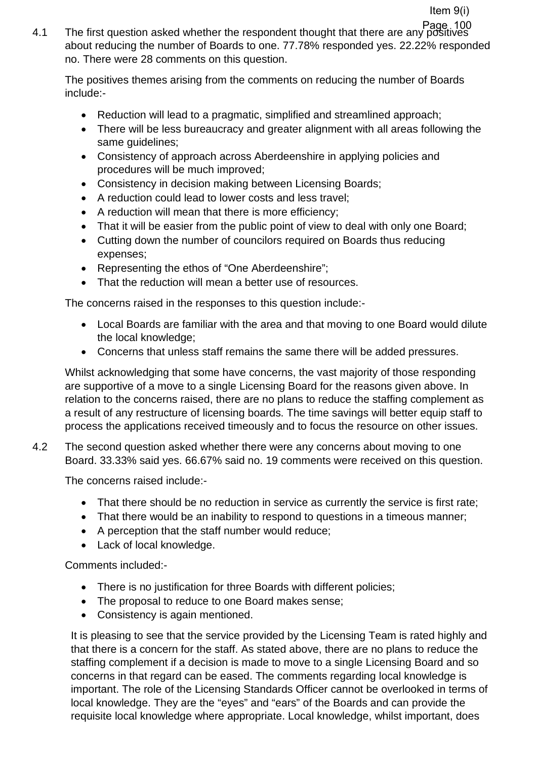4.1 The first question asked whether the respondent thought that there are any positives Page 100about reducing the number of Boards to one. 77.78% responded yes. 22.22% responded no. There were 28 comments on this question.

The positives themes arising from the comments on reducing the number of Boards include:-

- Reduction will lead to a pragmatic, simplified and streamlined approach:
- There will be less bureaucracy and greater alignment with all areas following the same guidelines;
- Consistency of approach across Aberdeenshire in applying policies and procedures will be much improved;
- Consistency in decision making between Licensing Boards;
- A reduction could lead to lower costs and less travel;
- A reduction will mean that there is more efficiency;
- That it will be easier from the public point of view to deal with only one Board;
- Cutting down the number of councilors required on Boards thus reducing expenses;
- Representing the ethos of "One Aberdeenshire";
- That the reduction will mean a better use of resources.

The concerns raised in the responses to this question include:-

- Local Boards are familiar with the area and that moving to one Board would dilute the local knowledge;
- Concerns that unless staff remains the same there will be added pressures.

Whilst acknowledging that some have concerns, the vast majority of those responding are supportive of a move to a single Licensing Board for the reasons given above. In relation to the concerns raised, there are no plans to reduce the staffing complement as a result of any restructure of licensing boards. The time savings will better equip staff to process the applications received timeously and to focus the resource on other issues.

4.2 The second question asked whether there were any concerns about moving to one Board. 33.33% said yes. 66.67% said no. 19 comments were received on this question.

The concerns raised include:-

- That there should be no reduction in service as currently the service is first rate;
- That there would be an inability to respond to questions in a timeous manner;
- A perception that the staff number would reduce;
- Lack of local knowledge.

Comments included:-

- There is no justification for three Boards with different policies;
- The proposal to reduce to one Board makes sense;
- Consistency is again mentioned.

It is pleasing to see that the service provided by the Licensing Team is rated highly and that there is a concern for the staff. As stated above, there are no plans to reduce the staffing complement if a decision is made to move to a single Licensing Board and so concerns in that regard can be eased. The comments regarding local knowledge is important. The role of the Licensing Standards Officer cannot be overlooked in terms of local knowledge. They are the "eyes" and "ears" of the Boards and can provide the requisite local knowledge where appropriate. Local knowledge, whilst important, does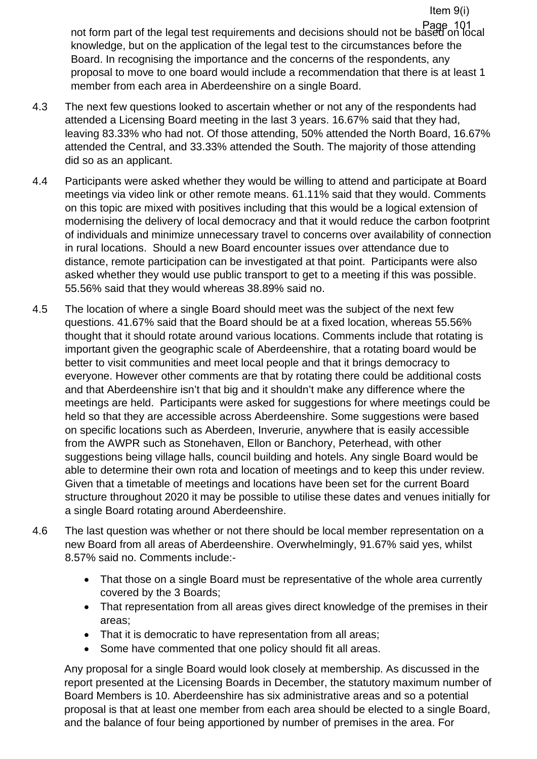not form part of the legal test requirements and decisions should not be based on local Page 101knowledge, but on the application of the legal test to the circumstances before the Board. In recognising the importance and the concerns of the respondents, any proposal to move to one board would include a recommendation that there is at least 1 member from each area in Aberdeenshire on a single Board.

Item 9(i)

- 4.3 The next few questions looked to ascertain whether or not any of the respondents had attended a Licensing Board meeting in the last 3 years. 16.67% said that they had, leaving 83.33% who had not. Of those attending, 50% attended the North Board, 16.67% attended the Central, and 33.33% attended the South. The majority of those attending did so as an applicant.
- 4.4 Participants were asked whether they would be willing to attend and participate at Board meetings via video link or other remote means. 61.11% said that they would. Comments on this topic are mixed with positives including that this would be a logical extension of modernising the delivery of local democracy and that it would reduce the carbon footprint of individuals and minimize unnecessary travel to concerns over availability of connection in rural locations. Should a new Board encounter issues over attendance due to distance, remote participation can be investigated at that point. Participants were also asked whether they would use public transport to get to a meeting if this was possible. 55.56% said that they would whereas 38.89% said no.
- 4.5 The location of where a single Board should meet was the subject of the next few questions. 41.67% said that the Board should be at a fixed location, whereas 55.56% thought that it should rotate around various locations. Comments include that rotating is important given the geographic scale of Aberdeenshire, that a rotating board would be better to visit communities and meet local people and that it brings democracy to everyone. However other comments are that by rotating there could be additional costs and that Aberdeenshire isn't that big and it shouldn't make any difference where the meetings are held. Participants were asked for suggestions for where meetings could be held so that they are accessible across Aberdeenshire. Some suggestions were based on specific locations such as Aberdeen, Inverurie, anywhere that is easily accessible from the AWPR such as Stonehaven, Ellon or Banchory, Peterhead, with other suggestions being village halls, council building and hotels. Any single Board would be able to determine their own rota and location of meetings and to keep this under review. Given that a timetable of meetings and locations have been set for the current Board structure throughout 2020 it may be possible to utilise these dates and venues initially for a single Board rotating around Aberdeenshire.
- 4.6 The last question was whether or not there should be local member representation on a new Board from all areas of Aberdeenshire. Overwhelmingly, 91.67% said yes, whilst 8.57% said no. Comments include:-
	- That those on a single Board must be representative of the whole area currently covered by the 3 Boards;
	- That representation from all areas gives direct knowledge of the premises in their areas;
	- That it is democratic to have representation from all areas;
	- Some have commented that one policy should fit all areas.

Any proposal for a single Board would look closely at membership. As discussed in the report presented at the Licensing Boards in December, the statutory maximum number of Board Members is 10. Aberdeenshire has six administrative areas and so a potential proposal is that at least one member from each area should be elected to a single Board, and the balance of four being apportioned by number of premises in the area. For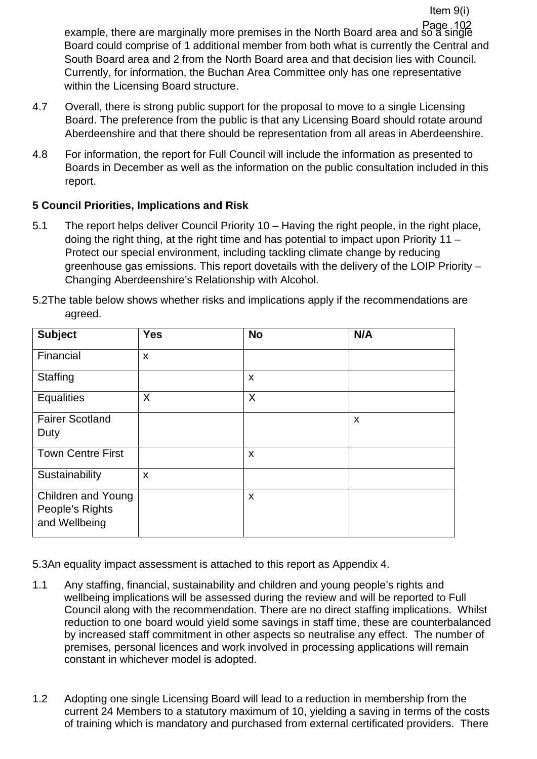example, there are marginally more premises in the North Board area and so a single Page 102Board could comprise of 1 additional member from both what is currently the Central and South Board area and 2 from the North Board area and that decision lies with Council. Currently, for information, the Buchan Area Committee only has one representative within the Licensing Board structure.

Item 9(i)

- 4.7 Overall, there is strong public support for the proposal to move to a single Licensing Board. The preference from the public is that any Licensing Board should rotate around Aberdeenshire and that there should be representation from all areas in Aberdeenshire.
- 4.8 For information, the report for Full Council will include the information as presented to Boards in December as well as the information on the public consultation included in this report.

## **5 Council Priorities, Implications and Risk**

5.1 The report helps deliver Council Priority 10 – Having the right people, in the right place, doing the right thing, at the right time and has potential to impact upon Priority 11 – Protect our special environment, including tackling climate change by reducing greenhouse gas emissions. This report dovetails with the delivery of the LOIP Priority – Changing Aberdeenshire's Relationship with Alcohol.

| <b>Subject</b>                                                | <b>Yes</b> | <b>No</b>                 | N/A |
|---------------------------------------------------------------|------------|---------------------------|-----|
| Financial                                                     | X          |                           |     |
| Staffing                                                      |            | X                         |     |
| <b>Equalities</b>                                             | X          | X                         |     |
| <b>Fairer Scotland</b><br>Duty                                |            |                           | X   |
| Town Centre First                                             |            | X                         |     |
| Sustainability                                                | X          |                           |     |
| <b>Children and Young</b><br>People's Rights<br>and Wellbeing |            | $\boldsymbol{\mathsf{X}}$ |     |

5.2The table below shows whether risks and implications apply if the recommendations are agreed.

5.3An equality impact assessment is attached to this report as Appendix 4.

- 1.1 Any staffing, financial, sustainability and children and young people's rights and wellbeing implications will be assessed during the review and will be reported to Full Council along with the recommendation. There are no direct staffing implications. Whilst reduction to one board would yield some savings in staff time, these are counterbalanced by increased staff commitment in other aspects so neutralise any effect. The number of premises, personal licences and work involved in processing applications will remain constant in whichever model is adopted.
- 1.2 Adopting one single Licensing Board will lead to a reduction in membership from the current 24 Members to a statutory maximum of 10, yielding a saving in terms of the costs of training which is mandatory and purchased from external certificated providers. There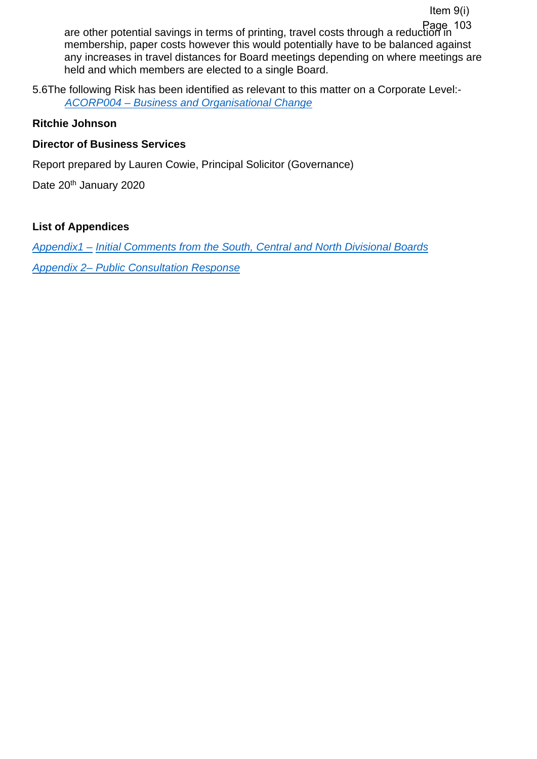are other potential savings in terms of printing, travel costs through a reduction in Page 103membership, paper costs however this would potentially have to be balanced against any increases in travel distances for Board meetings depending on where meetings are held and which members are elected to a single Board.

5.6The following Risk has been identified as relevant to this matter on a Corporate Level:- *[ACORP004 – Business and Organisational Change](https://www.aberdeenshire.gov.uk/media/24689/aberdeenshirecorporaterisks.pdf)* 

## **Ritchie Johnson**

## **Director of Business Services**

Report prepared by Lauren Cowie, Principal Solicitor (Governance)

Date 20<sup>th</sup> January 2020

## **List of Appendices**

*Appendix1 – Initial Comments from the South, Central and North Divisional Boards Appendix 2– Public Consultation Response*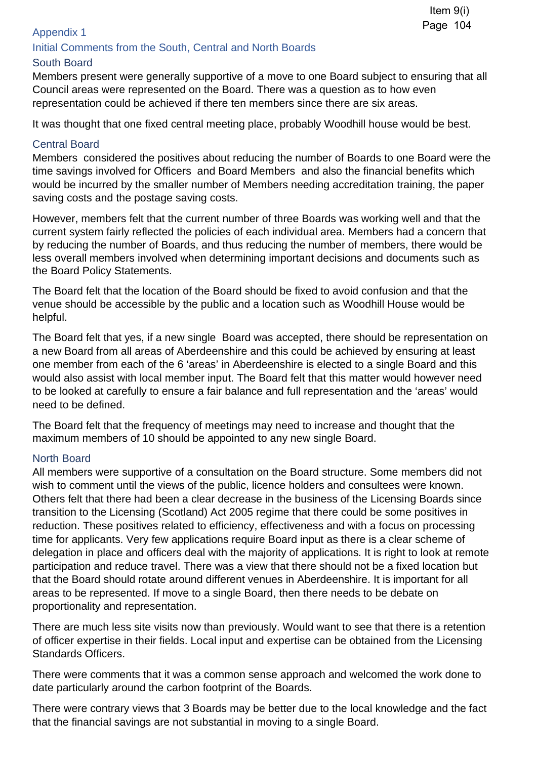## Appendix 1

## Initial Comments from the South, Central and North Boards

## South Board

Members present were generally supportive of a move to one Board subject to ensuring that all Council areas were represented on the Board. There was a question as to how even representation could be achieved if there ten members since there are six areas.

It was thought that one fixed central meeting place, probably Woodhill house would be best.

## Central Board

Members considered the positives about reducing the number of Boards to one Board were the time savings involved for Officers and Board Members and also the financial benefits which would be incurred by the smaller number of Members needing accreditation training, the paper saving costs and the postage saving costs.

However, members felt that the current number of three Boards was working well and that the current system fairly reflected the policies of each individual area. Members had a concern that by reducing the number of Boards, and thus reducing the number of members, there would be less overall members involved when determining important decisions and documents such as the Board Policy Statements.

The Board felt that the location of the Board should be fixed to avoid confusion and that the venue should be accessible by the public and a location such as Woodhill House would be helpful.

The Board felt that yes, if a new single Board was accepted, there should be representation on a new Board from all areas of Aberdeenshire and this could be achieved by ensuring at least one member from each of the 6 'areas' in Aberdeenshire is elected to a single Board and this would also assist with local member input. The Board felt that this matter would however need to be looked at carefully to ensure a fair balance and full representation and the 'areas' would need to be defined.

The Board felt that the frequency of meetings may need to increase and thought that the maximum members of 10 should be appointed to any new single Board.

#### North Board

All members were supportive of a consultation on the Board structure. Some members did not wish to comment until the views of the public, licence holders and consultees were known. Others felt that there had been a clear decrease in the business of the Licensing Boards since transition to the Licensing (Scotland) Act 2005 regime that there could be some positives in reduction. These positives related to efficiency, effectiveness and with a focus on processing time for applicants. Very few applications require Board input as there is a clear scheme of delegation in place and officers deal with the majority of applications. It is right to look at remote participation and reduce travel. There was a view that there should not be a fixed location but that the Board should rotate around different venues in Aberdeenshire. It is important for all areas to be represented. If move to a single Board, then there needs to be debate on proportionality and representation.

There are much less site visits now than previously. Would want to see that there is a retention of officer expertise in their fields. Local input and expertise can be obtained from the Licensing Standards Officers.

There were comments that it was a common sense approach and welcomed the work done to date particularly around the carbon footprint of the Boards.

There were contrary views that 3 Boards may be better due to the local knowledge and the fact that the financial savings are not substantial in moving to a single Board.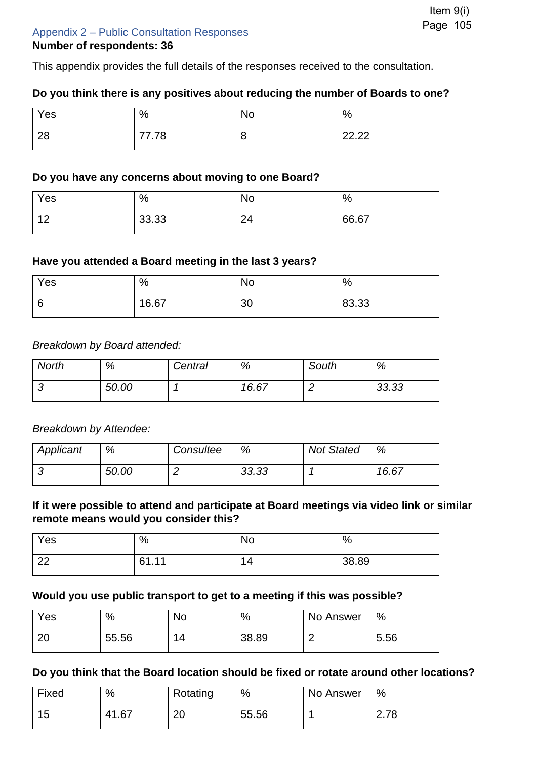## Appendix 2 – Public Consultation Responses **Number of respondents: 36**

This appendix provides the full details of the responses received to the consultation.

### **Do you think there is any positives about reducing the number of Boards to one?**

| Yes | %     | No | %     |
|-----|-------|----|-------|
| റാ  | 77 70 |    | ററ ററ |
| 20  | ه ، ۰ |    | LL.LL |

#### **Do you have any concerns about moving to one Board?**

| Yes                       | $\%$  | No           | $\frac{0}{0}$ |
|---------------------------|-------|--------------|---------------|
| $\Lambda$ $\Omega$<br>. . | 33.33 | $\sim$<br>∠− | 66.67         |

#### **Have you attended a Board meeting in the last 3 years?**

| Yes | $\%$  | No | %     |
|-----|-------|----|-------|
| ◡   | 16.67 | 30 | 83.33 |

#### *Breakdown by Board attended:*

| <b>North</b> | %     | Central | %     | South | %     |
|--------------|-------|---------|-------|-------|-------|
|              | 50.00 |         | 16.67 |       | 33.33 |

#### *Breakdown by Attendee:*

| Applicant | %     | Consultee | %     | <b>Not Stated</b> | %     |
|-----------|-------|-----------|-------|-------------------|-------|
|           | 50.00 | _         | 33.33 |                   | 16.67 |

## **If it were possible to attend and participate at Board meetings via video link or similar remote means would you consider this?**

| Yes      | %     | <b>No</b> | $\%$  |
|----------|-------|-----------|-------|
| ററ<br>LL | 61.11 | 14        | 38.89 |

#### **Would you use public transport to get to a meeting if this was possible?**

| Yes       | %     | <b>No</b> | $\%$  | No Answer | %    |
|-----------|-------|-----------|-------|-----------|------|
| റ്റ<br>∠∪ | 55.56 | 14        | 38.89 |           | 5.56 |

#### **Do you think that the Board location should be fixed or rotate around other locations?**

| Fixed | $\%$  | Rotating  | %     | No Answer | %                 |
|-------|-------|-----------|-------|-----------|-------------------|
| 15    | 41.67 | റ്റ<br>∠∪ | 55.56 |           | 72<br>⌒<br>2. I O |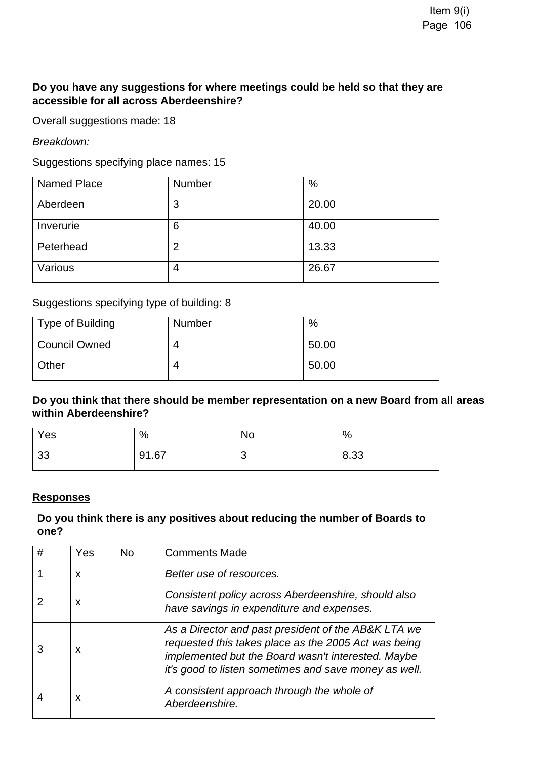## **Do you have any suggestions for where meetings could be held so that they are accessible for all across Aberdeenshire?**

Overall suggestions made: 18

*Breakdown:* 

Suggestions specifying place names: 15

| <b>Named Place</b> | Number | %     |
|--------------------|--------|-------|
| Aberdeen           | 3      | 20.00 |
| Inverurie          | 6      | 40.00 |
| Peterhead          | 2      | 13.33 |
| Various            | 4      | 26.67 |

Suggestions specifying type of building: 8

| Type of Building     | <b>Number</b> | %     |
|----------------------|---------------|-------|
| <b>Council Owned</b> | 4             | 50.00 |
| Other                | 4             | 50.00 |

**Do you think that there should be member representation on a new Board from all areas within Aberdeenshire?** 

| Yes | %     | <b>No</b> | %    |
|-----|-------|-----------|------|
| 33  | 91.67 | w         | 8.33 |

#### **Responses**

## **Do you think there is any positives about reducing the number of Boards to one?**

| # | Yes | <b>No</b> | <b>Comments Made</b>                                                                                                                                                                                                       |
|---|-----|-----------|----------------------------------------------------------------------------------------------------------------------------------------------------------------------------------------------------------------------------|
|   | X   |           | Better use of resources.                                                                                                                                                                                                   |
|   | X   |           | Consistent policy across Aberdeenshire, should also<br>have savings in expenditure and expenses.                                                                                                                           |
|   | X   |           | As a Director and past president of the AB&K LTA we<br>requested this takes place as the 2005 Act was being<br>implemented but the Board wasn't interested. Maybe<br>it's good to listen sometimes and save money as well. |
|   | X   |           | A consistent approach through the whole of<br>Aberdeenshire.                                                                                                                                                               |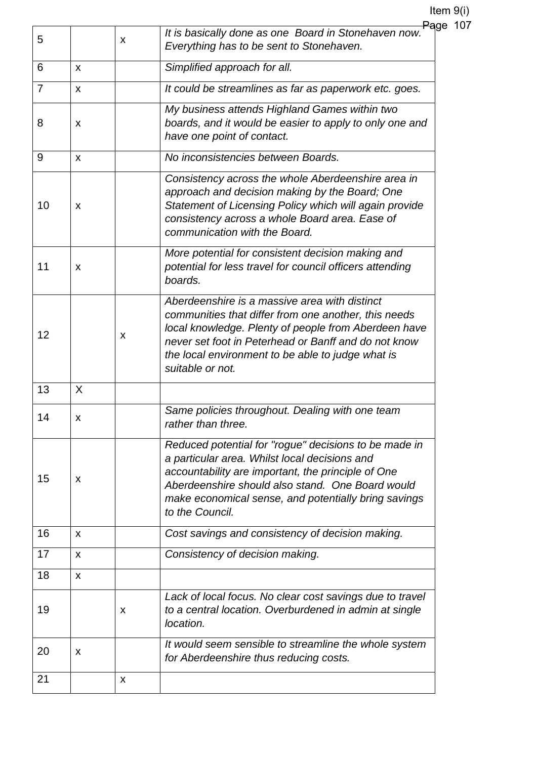| 5              |              | X | <del>Pa</del> ge 107<br>It is basically done as one Board in Stonehaven now.<br>Everything has to be sent to Stonehaven.                                                                                                                                                                       |
|----------------|--------------|---|------------------------------------------------------------------------------------------------------------------------------------------------------------------------------------------------------------------------------------------------------------------------------------------------|
| 6              | X            |   | Simplified approach for all.                                                                                                                                                                                                                                                                   |
| $\overline{7}$ | $\mathsf{x}$ |   | It could be streamlines as far as paperwork etc. goes.                                                                                                                                                                                                                                         |
| 8              | X            |   | My business attends Highland Games within two<br>boards, and it would be easier to apply to only one and<br>have one point of contact.                                                                                                                                                         |
| 9              | X            |   | No inconsistencies between Boards.                                                                                                                                                                                                                                                             |
| 10             | X            |   | Consistency across the whole Aberdeenshire area in<br>approach and decision making by the Board; One<br>Statement of Licensing Policy which will again provide<br>consistency across a whole Board area. Ease of<br>communication with the Board.                                              |
| 11             | X            |   | More potential for consistent decision making and<br>potential for less travel for council officers attending<br>boards.                                                                                                                                                                       |
| 12             |              | X | Aberdeenshire is a massive area with distinct<br>communities that differ from one another, this needs<br>local knowledge. Plenty of people from Aberdeen have<br>never set foot in Peterhead or Banff and do not know<br>the local environment to be able to judge what is<br>suitable or not. |
| 13             | X            |   |                                                                                                                                                                                                                                                                                                |
| 14             | X            |   | Same policies throughout. Dealing with one team<br>rather than three.                                                                                                                                                                                                                          |
| 15             | X            |   | Reduced potential for "rogue" decisions to be made in<br>a particular area. Whilst local decisions and<br>accountability are important, the principle of One<br>Aberdeenshire should also stand. One Board would<br>make economical sense, and potentially bring savings<br>to the Council.    |
| 16             | X            |   | Cost savings and consistency of decision making.                                                                                                                                                                                                                                               |
| 17             | X            |   | Consistency of decision making.                                                                                                                                                                                                                                                                |
| 18             | X            |   |                                                                                                                                                                                                                                                                                                |
| 19             |              | x | Lack of local focus. No clear cost savings due to travel<br>to a central location. Overburdened in admin at single<br>location.                                                                                                                                                                |
| 20             | X            |   | It would seem sensible to streamline the whole system<br>for Aberdeenshire thus reducing costs.                                                                                                                                                                                                |
| 21             |              | X |                                                                                                                                                                                                                                                                                                |
|                |              |   |                                                                                                                                                                                                                                                                                                |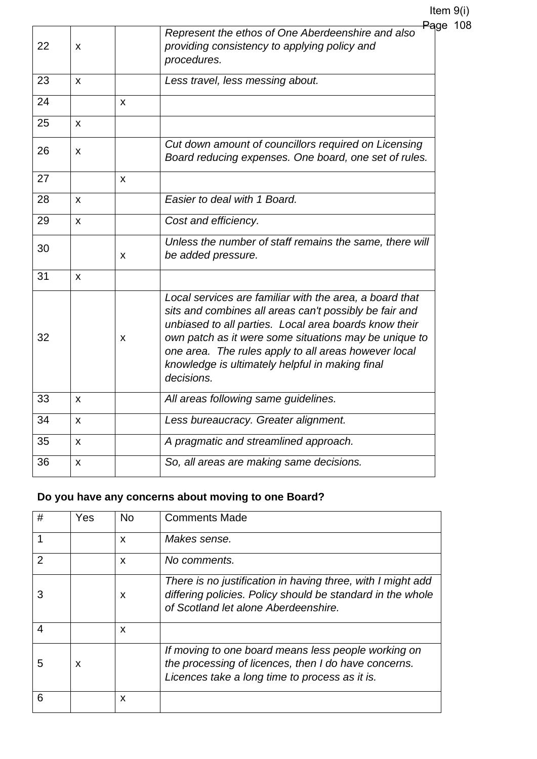Item 9(i)  $pe$  108

| 22<br>x | <del>Pa</del> g<br>Represent the ethos of One Aberdeenshire and also<br>providing consistency to applying policy and<br>procedures.<br>Less travel, less messing about.                                                                                                                                                                                      |
|---------|--------------------------------------------------------------------------------------------------------------------------------------------------------------------------------------------------------------------------------------------------------------------------------------------------------------------------------------------------------------|
|         |                                                                                                                                                                                                                                                                                                                                                              |
| 23<br>X |                                                                                                                                                                                                                                                                                                                                                              |
| 24<br>X |                                                                                                                                                                                                                                                                                                                                                              |
| 25<br>X |                                                                                                                                                                                                                                                                                                                                                              |
| 26<br>X | Cut down amount of councillors required on Licensing<br>Board reducing expenses. One board, one set of rules.                                                                                                                                                                                                                                                |
| 27<br>X |                                                                                                                                                                                                                                                                                                                                                              |
| 28<br>X | Easier to deal with 1 Board.                                                                                                                                                                                                                                                                                                                                 |
| 29<br>X | Cost and efficiency.                                                                                                                                                                                                                                                                                                                                         |
| 30<br>X | Unless the number of staff remains the same, there will<br>be added pressure.                                                                                                                                                                                                                                                                                |
| 31<br>X |                                                                                                                                                                                                                                                                                                                                                              |
| 32<br>X | Local services are familiar with the area, a board that<br>sits and combines all areas can't possibly be fair and<br>unbiased to all parties. Local area boards know their<br>own patch as it were some situations may be unique to<br>one area. The rules apply to all areas however local<br>knowledge is ultimately helpful in making final<br>decisions. |
| 33<br>X | All areas following same guidelines.                                                                                                                                                                                                                                                                                                                         |
| 34<br>X | Less bureaucracy. Greater alignment.                                                                                                                                                                                                                                                                                                                         |
| 35<br>X | A pragmatic and streamlined approach.                                                                                                                                                                                                                                                                                                                        |
| 36<br>X | So, all areas are making same decisions.                                                                                                                                                                                                                                                                                                                     |

## **Do you have any concerns about moving to one Board?**

| #              | Yes | <b>No</b>                 | <b>Comments Made</b>                                                                                                                                              |
|----------------|-----|---------------------------|-------------------------------------------------------------------------------------------------------------------------------------------------------------------|
|                |     | X                         | Makes sense.                                                                                                                                                      |
| $\overline{2}$ |     | $\boldsymbol{\mathsf{x}}$ | No comments.                                                                                                                                                      |
|                |     | X                         | There is no justification in having three, with I might add<br>differing policies. Policy should be standard in the whole<br>of Scotland let alone Aberdeenshire. |
| 4              |     | X                         |                                                                                                                                                                   |
| 5              | x   |                           | If moving to one board means less people working on<br>the processing of licences, then I do have concerns.<br>Licences take a long time to process as it is.     |
| 6              |     | X                         |                                                                                                                                                                   |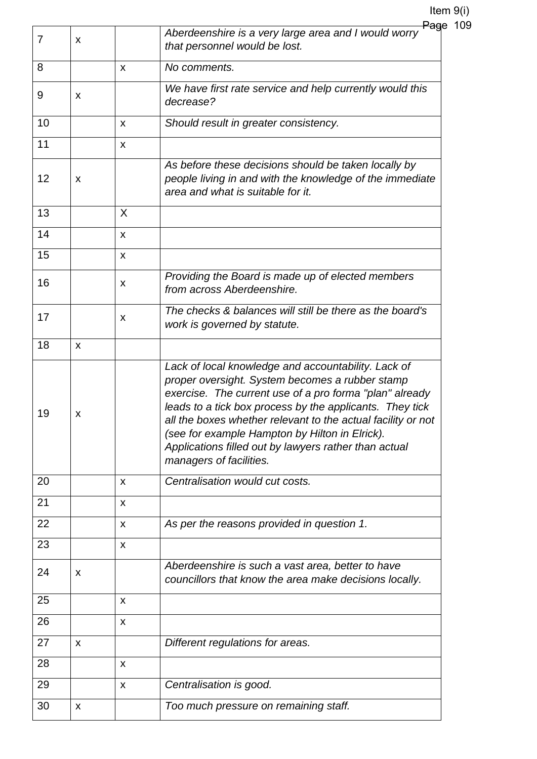|    |   |   | <del>Pag</del> e                                                                                                                                                                                                                                                                                                                                                                                                                    |
|----|---|---|-------------------------------------------------------------------------------------------------------------------------------------------------------------------------------------------------------------------------------------------------------------------------------------------------------------------------------------------------------------------------------------------------------------------------------------|
| 7  | X |   | Aberdeenshire is a very large area and I would worry<br>that personnel would be lost.                                                                                                                                                                                                                                                                                                                                               |
| 8  |   | X | No comments.                                                                                                                                                                                                                                                                                                                                                                                                                        |
| 9  | X |   | We have first rate service and help currently would this<br>decrease?                                                                                                                                                                                                                                                                                                                                                               |
| 10 |   | X | Should result in greater consistency.                                                                                                                                                                                                                                                                                                                                                                                               |
| 11 |   | X |                                                                                                                                                                                                                                                                                                                                                                                                                                     |
| 12 | x |   | As before these decisions should be taken locally by<br>people living in and with the knowledge of the immediate<br>area and what is suitable for it.                                                                                                                                                                                                                                                                               |
| 13 |   | X |                                                                                                                                                                                                                                                                                                                                                                                                                                     |
| 14 |   | X |                                                                                                                                                                                                                                                                                                                                                                                                                                     |
| 15 |   | X |                                                                                                                                                                                                                                                                                                                                                                                                                                     |
| 16 |   | X | Providing the Board is made up of elected members<br>from across Aberdeenshire.                                                                                                                                                                                                                                                                                                                                                     |
| 17 |   | X | The checks & balances will still be there as the board's<br>work is governed by statute.                                                                                                                                                                                                                                                                                                                                            |
| 18 | X |   |                                                                                                                                                                                                                                                                                                                                                                                                                                     |
| 19 | X |   | Lack of local knowledge and accountability. Lack of<br>proper oversight. System becomes a rubber stamp<br>exercise. The current use of a pro forma "plan" already<br>leads to a tick box process by the applicants. They tick<br>all the boxes whether relevant to the actual facility or not<br>(see for example Hampton by Hilton in Elrick).<br>Applications filled out by lawyers rather than actual<br>managers of facilities. |
| 20 |   | X | Centralisation would cut costs.                                                                                                                                                                                                                                                                                                                                                                                                     |
| 21 |   | X |                                                                                                                                                                                                                                                                                                                                                                                                                                     |
| 22 |   | X | As per the reasons provided in question 1.                                                                                                                                                                                                                                                                                                                                                                                          |
| 23 |   | X |                                                                                                                                                                                                                                                                                                                                                                                                                                     |
| 24 | X |   | Aberdeenshire is such a vast area, better to have<br>councillors that know the area make decisions locally.                                                                                                                                                                                                                                                                                                                         |
| 25 |   | X |                                                                                                                                                                                                                                                                                                                                                                                                                                     |
| 26 |   | X |                                                                                                                                                                                                                                                                                                                                                                                                                                     |
| 27 | X |   | Different regulations for areas.                                                                                                                                                                                                                                                                                                                                                                                                    |
| 28 |   | X |                                                                                                                                                                                                                                                                                                                                                                                                                                     |
| 29 |   | X | Centralisation is good.                                                                                                                                                                                                                                                                                                                                                                                                             |
| 30 | X |   | Too much pressure on remaining staff.                                                                                                                                                                                                                                                                                                                                                                                               |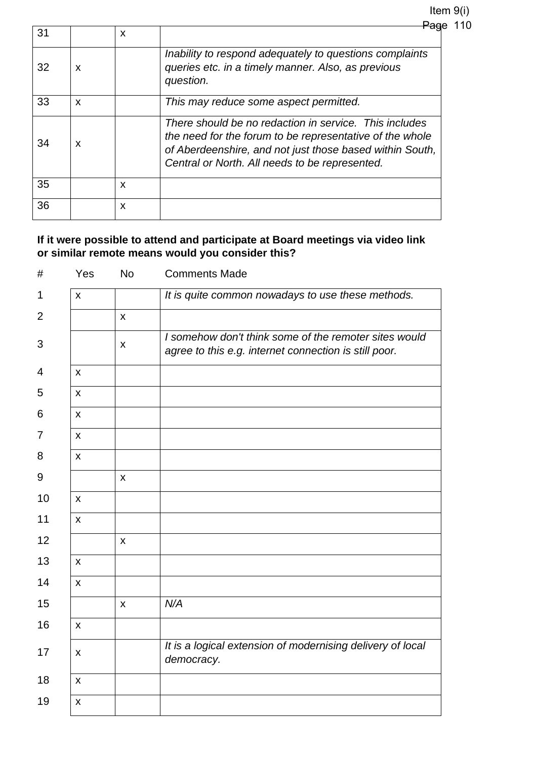Item 9(i) Page 110

| 31 |   | X |                                                                                                                                                                                                                                  |
|----|---|---|----------------------------------------------------------------------------------------------------------------------------------------------------------------------------------------------------------------------------------|
| 32 | X |   | Inability to respond adequately to questions complaints<br>queries etc. in a timely manner. Also, as previous<br>question.                                                                                                       |
| 33 | X |   | This may reduce some aspect permitted.                                                                                                                                                                                           |
| 34 | X |   | There should be no redaction in service. This includes<br>the need for the forum to be representative of the whole<br>of Aberdeenshire, and not just those based within South,<br>Central or North. All needs to be represented. |
| 35 |   | X |                                                                                                                                                                                                                                  |
| 36 |   | X |                                                                                                                                                                                                                                  |

## **If it were possible to attend and participate at Board meetings via video link or similar remote means would you consider this?**

| #              | Yes                     | <b>No</b>                 | <b>Comments Made</b>                                                                                           |
|----------------|-------------------------|---------------------------|----------------------------------------------------------------------------------------------------------------|
| 1              | X                       |                           | It is quite common nowadays to use these methods.                                                              |
| $\overline{2}$ |                         | $\mathsf{x}$              |                                                                                                                |
| 3              |                         | $\pmb{\mathsf{X}}$        | I somehow don't think some of the remoter sites would<br>agree to this e.g. internet connection is still poor. |
| 4              | $\pmb{\mathsf{X}}$      |                           |                                                                                                                |
| 5              | X                       |                           |                                                                                                                |
| 6              | $\pmb{\times}$          |                           |                                                                                                                |
| 7              | $\mathsf{X}$            |                           |                                                                                                                |
| 8              | $\mathsf{x}$            |                           |                                                                                                                |
| 9              |                         | $\pmb{\mathsf{X}}$        |                                                                                                                |
| 10             | $\pmb{\mathsf{X}}$      |                           |                                                                                                                |
| 11             | X                       |                           |                                                                                                                |
| 12             |                         | $\pmb{\times}$            |                                                                                                                |
| 13             | $\mathsf{\overline{X}}$ |                           |                                                                                                                |
| 14             | $\mathsf{x}$            |                           |                                                                                                                |
| 15             |                         | $\boldsymbol{\mathsf{x}}$ | N/A                                                                                                            |
| 16             | $\pmb{\mathsf{X}}$      |                           |                                                                                                                |
| 17             | X                       |                           | It is a logical extension of modernising delivery of local<br>democracy.                                       |
| 18             | $\mathsf{x}$            |                           |                                                                                                                |
| 19             | X                       |                           |                                                                                                                |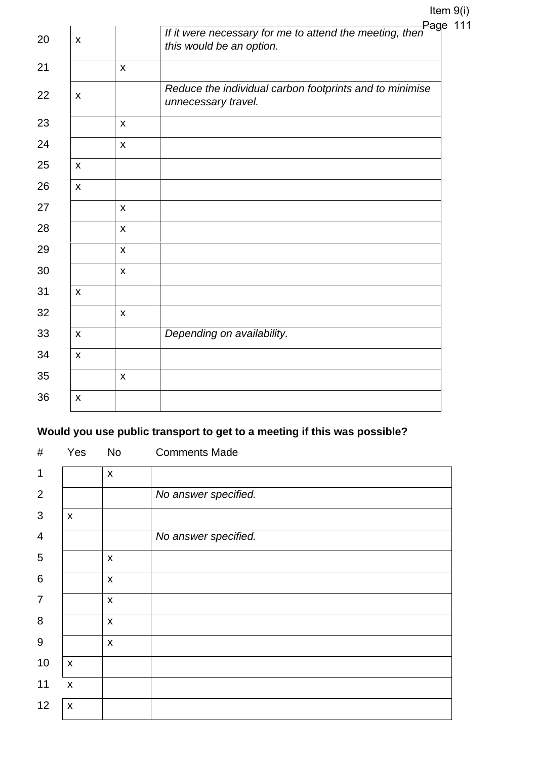|    |                           |                | Page                                                                                |
|----|---------------------------|----------------|-------------------------------------------------------------------------------------|
| 20 | $\boldsymbol{\mathsf{x}}$ |                | If it were necessary for me to attend the meeting, then<br>this would be an option. |
| 21 |                           | $\mathsf{x}$   |                                                                                     |
| 22 | X                         |                | Reduce the individual carbon footprints and to minimise<br>unnecessary travel.      |
| 23 |                           | X              |                                                                                     |
| 24 |                           | $\pmb{\times}$ |                                                                                     |
| 25 | $\mathsf{x}$              |                |                                                                                     |
| 26 | $\boldsymbol{\mathsf{X}}$ |                |                                                                                     |
| 27 |                           | X              |                                                                                     |
| 28 |                           | X              |                                                                                     |
| 29 |                           | X              |                                                                                     |
| 30 |                           | $\mathsf{x}$   |                                                                                     |
| 31 | $\boldsymbol{\mathsf{X}}$ |                |                                                                                     |
| 32 |                           | $\mathsf{x}$   |                                                                                     |
| 33 | $\boldsymbol{\mathsf{X}}$ |                | Depending on availability.                                                          |
| 34 | X                         |                |                                                                                     |
| 35 |                           | $\pmb{\times}$ |                                                                                     |
| 36 | X                         |                |                                                                                     |
|    |                           |                |                                                                                     |

## **Would you use public transport to get to a meeting if this was possible?**

| #               | Yes                | <b>No</b>          | <b>Comments Made</b> |
|-----------------|--------------------|--------------------|----------------------|
| $\mathbf 1$     |                    | $\pmb{\times}$     |                      |
| $\overline{2}$  |                    |                    | No answer specified. |
| 3               | $\pmb{\mathsf{X}}$ |                    |                      |
| $\overline{4}$  |                    |                    | No answer specified. |
| 5               |                    | $\pmb{\mathsf{X}}$ |                      |
| $6\phantom{1}6$ |                    | $\pmb{\mathsf{X}}$ |                      |
| $\overline{7}$  |                    | $\pmb{\times}$     |                      |
| 8               |                    | $\pmb{\times}$     |                      |
| $9\,$           |                    | $\mathsf{x}$       |                      |
| 10              | $\pmb{\mathsf{X}}$ |                    |                      |
| 11              | $\mathsf{X}$       |                    |                      |
| 12              | $\pmb{\mathsf{X}}$ |                    |                      |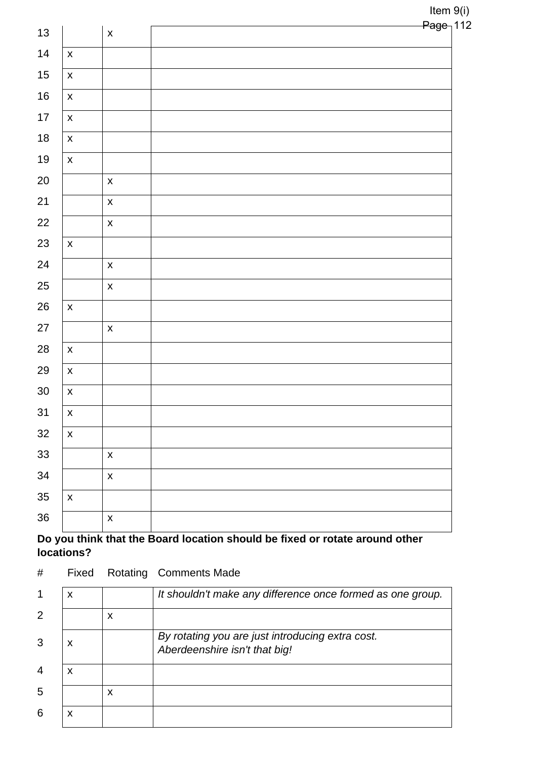| $13$       |                           | $\pmb{\mathsf{X}}$ | <del>Page ∣</del> |
|------------|---------------------------|--------------------|-------------------|
|            |                           |                    |                   |
| 14         | $\boldsymbol{\mathsf{X}}$ |                    |                   |
| $15$       | $\pmb{\mathsf{X}}$        |                    |                   |
| $16$       | $\pmb{\mathsf{X}}$        |                    |                   |
| $17$       | $\pmb{\mathsf{X}}$        |                    |                   |
| $18$       | $\pmb{\mathsf{X}}$        |                    |                   |
| $19$       | $\pmb{\mathsf{X}}$        |                    |                   |
| $20\,$     |                           | $\pmb{\mathsf{X}}$ |                   |
| 21         |                           | $\pmb{\mathsf{X}}$ |                   |
| $22\,$     |                           | $\pmb{\mathsf{X}}$ |                   |
| 23         | $\pmb{\mathsf{X}}$        |                    |                   |
| 24         |                           | $\pmb{\mathsf{X}}$ |                   |
| 25         |                           | $\pmb{\mathsf{X}}$ |                   |
| $26\,$     | $\pmb{\mathsf{X}}$        |                    |                   |
| $27\,$     |                           | $\pmb{\mathsf{X}}$ |                   |
| ${\bf 28}$ | $\pmb{\mathsf{X}}$        |                    |                   |
| 29         | $\pmb{\mathsf{X}}$        |                    |                   |
| $30\,$     | $\pmb{\mathsf{X}}$        |                    |                   |
| 31         | $\pmb{\mathsf{X}}$        |                    |                   |
| $32\,$     | $\pmb{\mathsf{X}}$        |                    |                   |
| 33         |                           | $\pmb{\mathsf{X}}$ |                   |
| 34         |                           | $\pmb{\mathsf{X}}$ |                   |
| 35         | $\pmb{\mathsf{X}}$        |                    |                   |
| 36         |                           | $\pmb{\mathsf{X}}$ |                   |
|            |                           |                    |                   |

## **Do you think that the Board location should be fixed or rotate around other locations?**

# Fixed Rotating Comments Made

|                | X |   | It shouldn't make any difference once formed as one group.                        |
|----------------|---|---|-----------------------------------------------------------------------------------|
| 2              |   | X |                                                                                   |
| 3              | x |   | By rotating you are just introducing extra cost.<br>Aberdeenshire isn't that big! |
| $\overline{4}$ | x |   |                                                                                   |
| 5              |   | X |                                                                                   |
| 6              | X |   |                                                                                   |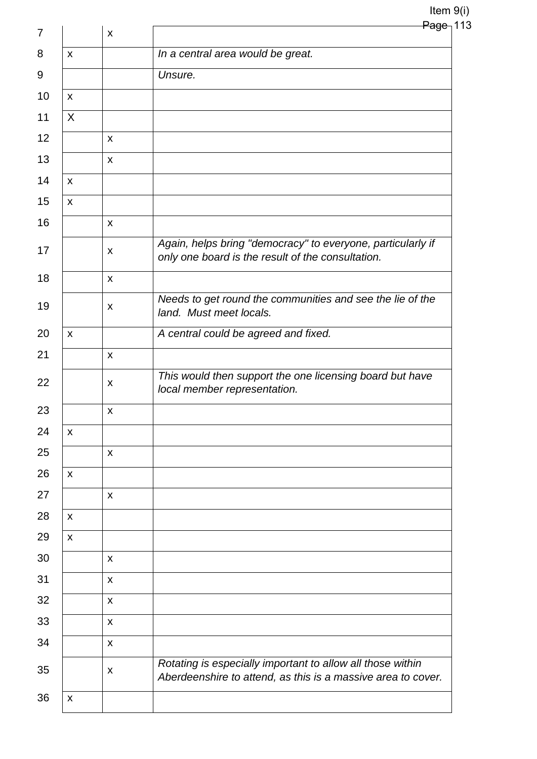## Item 9(i)  $Page<sub>1</sub>113$

|                    | $\pmb{\mathsf{X}}$        | <del>rayc</del>                                                                                                            |
|--------------------|---------------------------|----------------------------------------------------------------------------------------------------------------------------|
| $\mathsf{X}$       |                           | In a central area would be great.                                                                                          |
|                    |                           | Unsure.                                                                                                                    |
| $\pmb{\mathsf{X}}$ |                           |                                                                                                                            |
| X                  |                           |                                                                                                                            |
|                    | $\boldsymbol{\mathsf{X}}$ |                                                                                                                            |
|                    | $\mathsf{x}$              |                                                                                                                            |
| $\mathsf{x}$       |                           |                                                                                                                            |
| $\pmb{\mathsf{X}}$ |                           |                                                                                                                            |
|                    | X                         |                                                                                                                            |
|                    | X                         | Again, helps bring "democracy" to everyone, particularly if<br>only one board is the result of the consultation.           |
|                    | X                         |                                                                                                                            |
|                    | X                         | Needs to get round the communities and see the lie of the<br>land. Must meet locals.                                       |
| $\mathsf{x}$       |                           | A central could be agreed and fixed.                                                                                       |
|                    | $\boldsymbol{\mathsf{X}}$ |                                                                                                                            |
|                    | X                         | This would then support the one licensing board but have<br>local member representation.                                   |
|                    | X                         |                                                                                                                            |
| X                  |                           |                                                                                                                            |
|                    | X                         |                                                                                                                            |
| $\pmb{\mathsf{X}}$ |                           |                                                                                                                            |
|                    | X                         |                                                                                                                            |
| $\pmb{\mathsf{X}}$ |                           |                                                                                                                            |
| $\pmb{\mathsf{X}}$ |                           |                                                                                                                            |
|                    | X                         |                                                                                                                            |
|                    | X                         |                                                                                                                            |
|                    | X                         |                                                                                                                            |
|                    | X                         |                                                                                                                            |
|                    | $\pmb{\times}$            |                                                                                                                            |
|                    | X                         | Rotating is especially important to allow all those within<br>Aberdeenshire to attend, as this is a massive area to cover. |
| X                  |                           |                                                                                                                            |
|                    |                           |                                                                                                                            |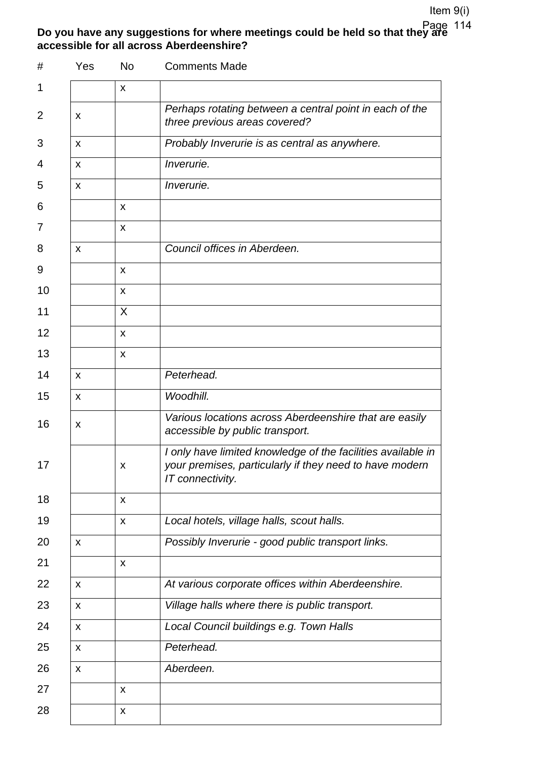#### **Do you have any suggestions for where meetings could be held so that they are accessible for all across Aberdeenshire?**  Page 114

| #              | Yes                       | No                 | <b>Comments Made</b>                                                                                                                        |  |
|----------------|---------------------------|--------------------|---------------------------------------------------------------------------------------------------------------------------------------------|--|
| 1              |                           | X                  |                                                                                                                                             |  |
| $\overline{2}$ | x                         |                    | Perhaps rotating between a central point in each of the<br>three previous areas covered?                                                    |  |
| 3              | X                         |                    | Probably Inverurie is as central as anywhere.                                                                                               |  |
| 4              | X                         |                    | Inverurie.                                                                                                                                  |  |
| 5              | x                         |                    | <i>Inverurie.</i>                                                                                                                           |  |
| 6              |                           | $\pmb{\mathsf{X}}$ |                                                                                                                                             |  |
| 7              |                           | X                  |                                                                                                                                             |  |
| 8              | $\pmb{\times}$            |                    | Council offices in Aberdeen.                                                                                                                |  |
| 9              |                           | X                  |                                                                                                                                             |  |
| 10             |                           | X                  |                                                                                                                                             |  |
| 11             |                           | X                  |                                                                                                                                             |  |
| 12             |                           | X                  |                                                                                                                                             |  |
| 13             |                           | X                  |                                                                                                                                             |  |
| 14             | X                         |                    | Peterhead.                                                                                                                                  |  |
| 15             | X                         |                    | Woodhill.                                                                                                                                   |  |
| 16             | X                         |                    | Various locations across Aberdeenshire that are easily<br>accessible by public transport.                                                   |  |
| 17             |                           | X.                 | I only have limited knowledge of the facilities available in<br>your premises, particularly if they need to have modern<br>IT connectivity. |  |
| 18             |                           | $\pmb{\mathsf{X}}$ |                                                                                                                                             |  |
| 19             |                           | X                  | Local hotels, village halls, scout halls.                                                                                                   |  |
| 20             | X                         |                    | Possibly Inverurie - good public transport links.                                                                                           |  |
| 21             |                           | X                  |                                                                                                                                             |  |
| 22             | X                         |                    | At various corporate offices within Aberdeenshire.                                                                                          |  |
| 23             | $\boldsymbol{\mathsf{X}}$ |                    | Village halls where there is public transport.                                                                                              |  |
| 24             | X                         |                    | Local Council buildings e.g. Town Halls                                                                                                     |  |
| 25             | $\boldsymbol{\mathsf{X}}$ |                    | Peterhead.                                                                                                                                  |  |
| 26             | X                         |                    | Aberdeen.                                                                                                                                   |  |
| 27             |                           | $\pmb{\mathsf{X}}$ |                                                                                                                                             |  |
| 28             |                           | $\pmb{\mathsf{X}}$ |                                                                                                                                             |  |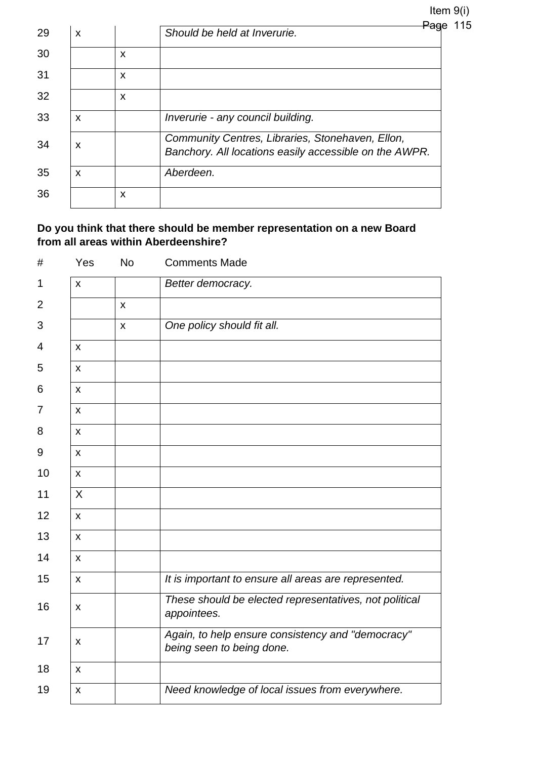| <del>Pag</del> e | 115 |  |
|------------------|-----|--|
|                  |     |  |

| 29 | X |   | ag<br>Should be held at Inverurie.                                                                         |
|----|---|---|------------------------------------------------------------------------------------------------------------|
| 30 |   | X |                                                                                                            |
| 31 |   | X |                                                                                                            |
| 32 |   | X |                                                                                                            |
| 33 | X |   | Inverurie - any council building.                                                                          |
| 34 | X |   | Community Centres, Libraries, Stonehaven, Ellon,<br>Banchory. All locations easily accessible on the AWPR. |
| 35 | X |   | Aberdeen.                                                                                                  |
| 36 |   | X |                                                                                                            |

## **Do you think that there should be member representation on a new Board from all areas within Aberdeenshire?**

| #  | Yes                | <b>No</b>      | <b>Comments Made</b>                                                           |
|----|--------------------|----------------|--------------------------------------------------------------------------------|
| 1  | $\mathsf{x}$       |                | Better democracy.                                                              |
| 2  |                    | $\mathsf{x}$   |                                                                                |
| 3  |                    | $\pmb{\times}$ | One policy should fit all.                                                     |
| 4  | $\mathsf{x}$       |                |                                                                                |
| 5  | $\mathsf{x}$       |                |                                                                                |
| 6  | $\mathsf{x}$       |                |                                                                                |
| 7  | $\mathsf{x}$       |                |                                                                                |
| 8  | $\mathsf{x}$       |                |                                                                                |
| 9  | $\mathsf{x}$       |                |                                                                                |
| 10 | $\mathsf{x}$       |                |                                                                                |
| 11 | X                  |                |                                                                                |
| 12 | $\mathsf{x}$       |                |                                                                                |
| 13 | $\mathsf{x}$       |                |                                                                                |
| 14 | $\mathsf{x}$       |                |                                                                                |
| 15 | $\mathsf{x}$       |                | It is important to ensure all areas are represented.                           |
| 16 | $\pmb{\mathsf{X}}$ |                | These should be elected representatives, not political<br>appointees.          |
| 17 | X                  |                | Again, to help ensure consistency and "democracy"<br>being seen to being done. |
| 18 | $\mathsf{x}$       |                |                                                                                |
| 19 | $\pmb{\mathsf{X}}$ |                | Need knowledge of local issues from everywhere.                                |
|    |                    |                |                                                                                |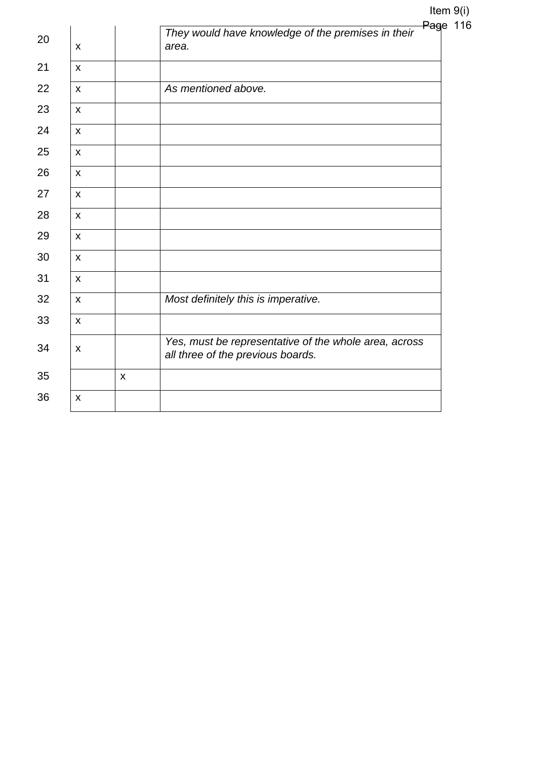|    |                           |              | They would have knowledge of the premises in their                                         | Page 116 |
|----|---------------------------|--------------|--------------------------------------------------------------------------------------------|----------|
| 20 | $\boldsymbol{\mathsf{X}}$ |              | area.                                                                                      |          |
| 21 | $\mathsf{x}$              |              |                                                                                            |          |
| 22 | $\mathsf{x}$              |              | As mentioned above.                                                                        |          |
| 23 | $\mathsf{x}$              |              |                                                                                            |          |
| 24 | $\mathsf{x}$              |              |                                                                                            |          |
| 25 | $\mathsf{x}$              |              |                                                                                            |          |
| 26 | $\mathsf{x}$              |              |                                                                                            |          |
| 27 | $\mathsf{x}$              |              |                                                                                            |          |
| 28 | $\mathsf{x}$              |              |                                                                                            |          |
| 29 | $\mathsf{x}$              |              |                                                                                            |          |
| 30 | $\mathsf{x}$              |              |                                                                                            |          |
| 31 | $\mathsf{x}$              |              |                                                                                            |          |
| 32 | $\mathsf{x}$              |              | Most definitely this is imperative.                                                        |          |
| 33 | $\mathsf{x}$              |              |                                                                                            |          |
| 34 | $\mathsf{x}$              |              | Yes, must be representative of the whole area, across<br>all three of the previous boards. |          |
| 35 |                           | $\mathsf{x}$ |                                                                                            |          |
| 36 | $\mathsf{x}$              |              |                                                                                            |          |
|    |                           |              |                                                                                            |          |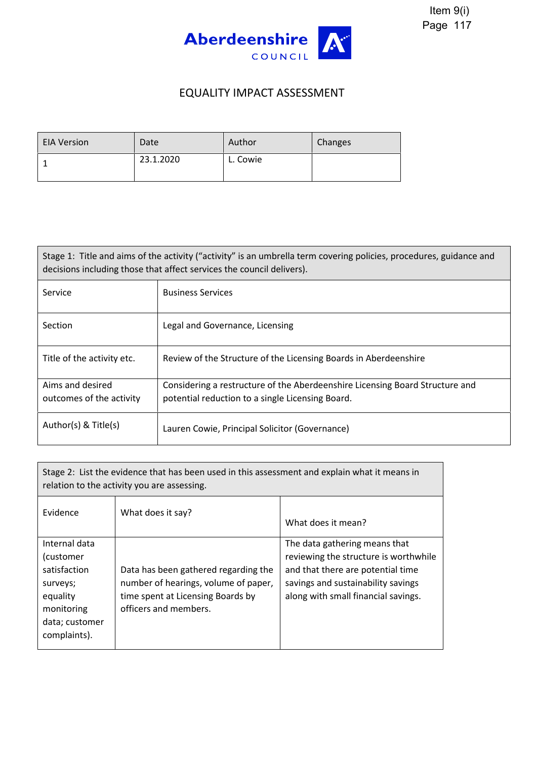

## EQUALITY IMPACT ASSESSMENT

| <b>EIA Version</b> | Date      | Author   | Changes |
|--------------------|-----------|----------|---------|
|                    | 23.1.2020 | L. Cowie |         |

| Stage 1: Title and aims of the activity ("activity" is an umbrella term covering policies, procedures, guidance and<br>decisions including those that affect services the council delivers). |                                                                              |  |  |
|----------------------------------------------------------------------------------------------------------------------------------------------------------------------------------------------|------------------------------------------------------------------------------|--|--|
| Service                                                                                                                                                                                      | <b>Business Services</b>                                                     |  |  |
| <b>Section</b>                                                                                                                                                                               | Legal and Governance, Licensing                                              |  |  |
| Title of the activity etc.                                                                                                                                                                   | Review of the Structure of the Licensing Boards in Aberdeenshire             |  |  |
| Aims and desired                                                                                                                                                                             | Considering a restructure of the Aberdeenshire Licensing Board Structure and |  |  |
| outcomes of the activity                                                                                                                                                                     | potential reduction to a single Licensing Board.                             |  |  |
| Author(s) & Title(s)                                                                                                                                                                         | Lauren Cowie, Principal Solicitor (Governance)                               |  |  |

Stage 2: List the evidence that has been used in this assessment and explain what it means in relation to the activity you are assessing. Evidence | What does it say? What does it mean? Internal data (customer satisfaction surveys; equality monitoring data; customer complaints). Data has been gathered regarding the number of hearings, volume of paper, time spent at Licensing Boards by officers and members. The data gathering means that reviewing the structure is worthwhile and that there are potential time savings and sustainability savings along with small financial savings.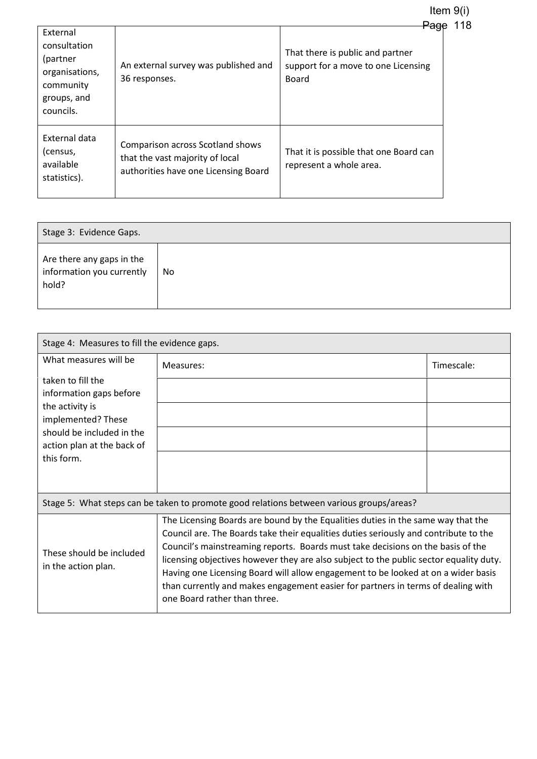Item 9(i) Page 118

| External<br>consultation<br>(partner<br>organisations,<br>community<br>groups, and<br>councils. | An external survey was published and<br>36 responses.                                                              | ayu<br>That there is public and partner<br>support for a move to one Licensing<br>Board |
|-------------------------------------------------------------------------------------------------|--------------------------------------------------------------------------------------------------------------------|-----------------------------------------------------------------------------------------|
| External data<br>(census,<br>available<br>statistics).                                          | <b>Comparison across Scotland shows</b><br>that the vast majority of local<br>authorities have one Licensing Board | That it is possible that one Board can<br>represent a whole area.                       |

| Stage 3: Evidence Gaps.                                         |    |  |  |
|-----------------------------------------------------------------|----|--|--|
| Are there any gaps in the<br>information you currently<br>hold? | No |  |  |

| Stage 4: Measures to fill the evidence gaps.            |                                                                                                                                                                                                                                                                                                                                                                                                                                                                                                                                                                |            |  |
|---------------------------------------------------------|----------------------------------------------------------------------------------------------------------------------------------------------------------------------------------------------------------------------------------------------------------------------------------------------------------------------------------------------------------------------------------------------------------------------------------------------------------------------------------------------------------------------------------------------------------------|------------|--|
| What measures will be                                   | Measures:                                                                                                                                                                                                                                                                                                                                                                                                                                                                                                                                                      | Timescale: |  |
| taken to fill the                                       |                                                                                                                                                                                                                                                                                                                                                                                                                                                                                                                                                                |            |  |
| information gaps before<br>the activity is              |                                                                                                                                                                                                                                                                                                                                                                                                                                                                                                                                                                |            |  |
| implemented? These                                      |                                                                                                                                                                                                                                                                                                                                                                                                                                                                                                                                                                |            |  |
| should be included in the<br>action plan at the back of |                                                                                                                                                                                                                                                                                                                                                                                                                                                                                                                                                                |            |  |
| this form.                                              |                                                                                                                                                                                                                                                                                                                                                                                                                                                                                                                                                                |            |  |
|                                                         |                                                                                                                                                                                                                                                                                                                                                                                                                                                                                                                                                                |            |  |
|                                                         | Stage 5: What steps can be taken to promote good relations between various groups/areas?                                                                                                                                                                                                                                                                                                                                                                                                                                                                       |            |  |
| These should be included<br>in the action plan.         | The Licensing Boards are bound by the Equalities duties in the same way that the<br>Council are. The Boards take their equalities duties seriously and contribute to the<br>Council's mainstreaming reports. Boards must take decisions on the basis of the<br>licensing objectives however they are also subject to the public sector equality duty.<br>Having one Licensing Board will allow engagement to be looked at on a wider basis<br>than currently and makes engagement easier for partners in terms of dealing with<br>one Board rather than three. |            |  |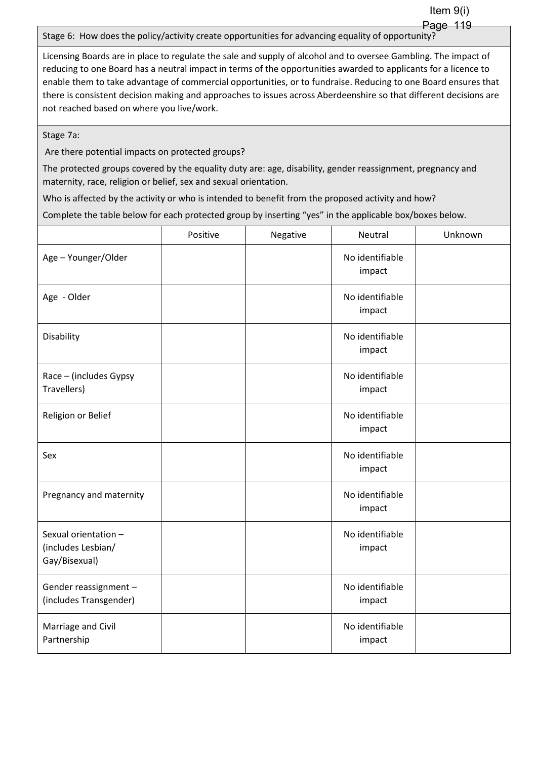Item 9(i) Page 119

Stage 6: How does the policy/activity create opportunities for advancing equality of opportunity?

Licensing Boards are in place to regulate the sale and supply of alcohol and to oversee Gambling. The impact of reducing to one Board has a neutral impact in terms of the opportunities awarded to applicants for a licence to enable them to take advantage of commercial opportunities, or to fundraise. Reducing to one Board ensures that there is consistent decision making and approaches to issues across Aberdeenshire so that different decisions are not reached based on where you live/work.

Stage 7a:

Are there potential impacts on protected groups?

The protected groups covered by the equality duty are: age, disability, gender reassignment, pregnancy and maternity, race, religion or belief, sex and sexual orientation.

Who is affected by the activity or who is intended to benefit from the proposed activity and how?

Complete the table below for each protected group by inserting "yes" in the applicable box/boxes below.

|                                                             | Positive | Negative | Neutral                   | Unknown |
|-------------------------------------------------------------|----------|----------|---------------------------|---------|
| Age - Younger/Older                                         |          |          | No identifiable<br>impact |         |
| Age - Older                                                 |          |          | No identifiable<br>impact |         |
| Disability                                                  |          |          | No identifiable<br>impact |         |
| Race - (includes Gypsy<br>Travellers)                       |          |          | No identifiable<br>impact |         |
| Religion or Belief                                          |          |          | No identifiable<br>impact |         |
| Sex                                                         |          |          | No identifiable<br>impact |         |
| Pregnancy and maternity                                     |          |          | No identifiable<br>impact |         |
| Sexual orientation -<br>(includes Lesbian/<br>Gay/Bisexual) |          |          | No identifiable<br>impact |         |
| Gender reassignment -<br>(includes Transgender)             |          |          | No identifiable<br>impact |         |
| Marriage and Civil<br>Partnership                           |          |          | No identifiable<br>impact |         |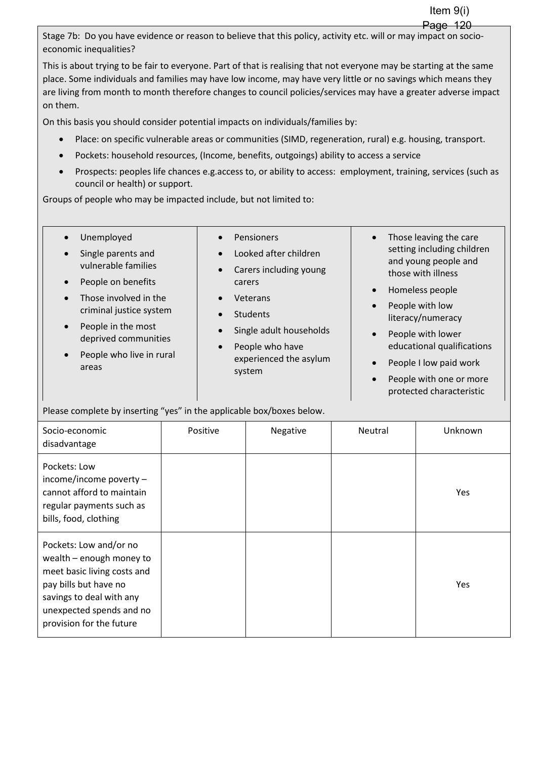Stage 7b: Do you have evidence or reason to believe that this policy, activity etc. will or may impact on socioeconomic inequalities?

This is about trying to be fair to everyone. Part of that is realising that not everyone may be starting at the same place. Some individuals and families may have low income, may have very little or no savings which means they are living from month to month therefore changes to council policies/services may have a greater adverse impact on them.

On this basis you should consider potential impacts on individuals/families by:

- Place: on specific vulnerable areas or communities (SIMD, regeneration, rural) e.g. housing, transport.
- Pockets: household resources, (Income, benefits, outgoings) ability to access a service
- Prospects: peoples life chances e.g.access to, or ability to access: employment, training, services (such as council or health) or support.

Groups of people who may be impacted include, but not limited to:

| Unemployed<br>$\bullet$               | Pensioners<br>$\bullet$              | Those leaving the care<br>$\bullet$                |
|---------------------------------------|--------------------------------------|----------------------------------------------------|
| Single parents and<br>$\bullet$       | Looked after children<br>$\bullet$   | setting including children<br>and young people and |
| vulnerable families                   | Carers including young<br>$\bullet$  | those with illness                                 |
| People on benefits<br>$\bullet$       | carers                               |                                                    |
| Those involved in the<br>$\bullet$    | Veterans<br>$\bullet$                | Homeless people<br>$\bullet$                       |
| criminal justice system               | <b>Students</b><br>$\bullet$         | People with low<br>$\bullet$                       |
| People in the most<br>$\bullet$       |                                      | literacy/numeracy                                  |
| deprived communities                  | Single adult households<br>$\bullet$ | People with lower<br>$\bullet$                     |
|                                       | People who have<br>$\bullet$         | educational qualifications                         |
| People who live in rural<br>$\bullet$ | experienced the asylum               | People I low paid work<br>$\bullet$                |
| areas                                 | system                               |                                                    |

 People with one or more protected characteristic

Please complete by inserting "yes" in the applicable box/boxes below.

| Socio-economic<br>disadvantage                                                                                                                                                                 | Positive | Negative | Neutral | Unknown |
|------------------------------------------------------------------------------------------------------------------------------------------------------------------------------------------------|----------|----------|---------|---------|
| Pockets: Low<br>income/income poverty $-$<br>cannot afford to maintain<br>regular payments such as<br>bills, food, clothing                                                                    |          |          |         | Yes     |
| Pockets: Low and/or no<br>wealth - enough money to<br>meet basic living costs and<br>pay bills but have no<br>savings to deal with any<br>unexpected spends and no<br>provision for the future |          |          |         | Yes     |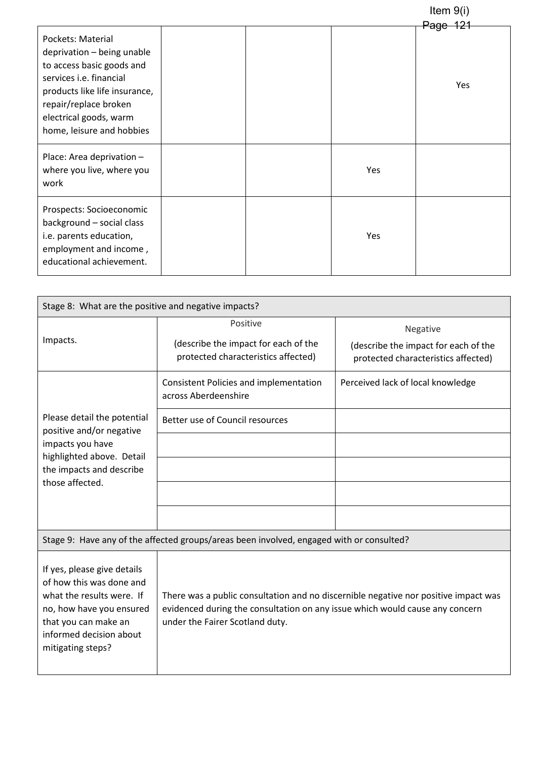|                                                                                                                                                                                                                          |  |     | Item $9(i)$                |
|--------------------------------------------------------------------------------------------------------------------------------------------------------------------------------------------------------------------------|--|-----|----------------------------|
| Pockets: Material<br>deprivation - being unable<br>to access basic goods and<br>services i.e. financial<br>products like life insurance,<br>repair/replace broken<br>electrical goods, warm<br>home, leisure and hobbies |  |     | <del>Page 121</del><br>Yes |
| Place: Area deprivation -<br>where you live, where you<br>work                                                                                                                                                           |  | Yes |                            |
| Prospects: Socioeconomic<br>background - social class<br>i.e. parents education,<br>employment and income,<br>educational achievement.                                                                                   |  | Yes |                            |

| Stage 8: What are the positive and negative impacts?                                                                                                                                     |                                                                                                                                                                                                        |                                                                                         |  |  |  |
|------------------------------------------------------------------------------------------------------------------------------------------------------------------------------------------|--------------------------------------------------------------------------------------------------------------------------------------------------------------------------------------------------------|-----------------------------------------------------------------------------------------|--|--|--|
| Impacts.                                                                                                                                                                                 | Positive<br>(describe the impact for each of the<br>protected characteristics affected)                                                                                                                | Negative<br>(describe the impact for each of the<br>protected characteristics affected) |  |  |  |
|                                                                                                                                                                                          | Consistent Policies and implementation<br>across Aberdeenshire                                                                                                                                         | Perceived lack of local knowledge                                                       |  |  |  |
| Please detail the potential<br>positive and/or negative                                                                                                                                  | Better use of Council resources                                                                                                                                                                        |                                                                                         |  |  |  |
| impacts you have                                                                                                                                                                         |                                                                                                                                                                                                        |                                                                                         |  |  |  |
| highlighted above. Detail<br>the impacts and describe                                                                                                                                    |                                                                                                                                                                                                        |                                                                                         |  |  |  |
| those affected.                                                                                                                                                                          |                                                                                                                                                                                                        |                                                                                         |  |  |  |
|                                                                                                                                                                                          |                                                                                                                                                                                                        |                                                                                         |  |  |  |
|                                                                                                                                                                                          | Stage 9: Have any of the affected groups/areas been involved, engaged with or consulted?                                                                                                               |                                                                                         |  |  |  |
| If yes, please give details<br>of how this was done and<br>what the results were. If<br>no, how have you ensured<br>that you can make an<br>informed decision about<br>mitigating steps? | There was a public consultation and no discernible negative nor positive impact was<br>evidenced during the consultation on any issue which would cause any concern<br>under the Fairer Scotland duty. |                                                                                         |  |  |  |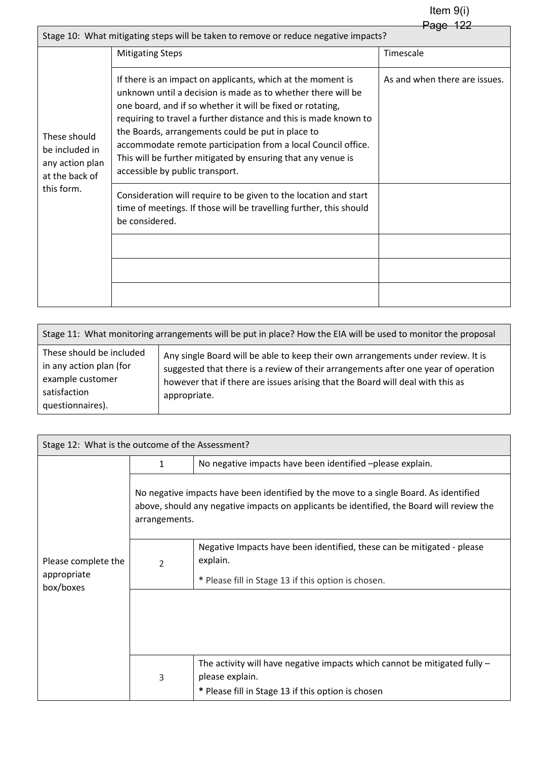|                                                                                     | <del>Page</del>                                                                                                                                                                                                                                                                                                                                                                                                                                                                        |                               |  |  |  |  |  |
|-------------------------------------------------------------------------------------|----------------------------------------------------------------------------------------------------------------------------------------------------------------------------------------------------------------------------------------------------------------------------------------------------------------------------------------------------------------------------------------------------------------------------------------------------------------------------------------|-------------------------------|--|--|--|--|--|
| Stage 10: What mitigating steps will be taken to remove or reduce negative impacts? |                                                                                                                                                                                                                                                                                                                                                                                                                                                                                        |                               |  |  |  |  |  |
|                                                                                     | <b>Mitigating Steps</b>                                                                                                                                                                                                                                                                                                                                                                                                                                                                | Timescale                     |  |  |  |  |  |
| These should<br>be included in<br>any action plan<br>at the back of                 | If there is an impact on applicants, which at the moment is<br>unknown until a decision is made as to whether there will be<br>one board, and if so whether it will be fixed or rotating,<br>requiring to travel a further distance and this is made known to<br>the Boards, arrangements could be put in place to<br>accommodate remote participation from a local Council office.<br>This will be further mitigated by ensuring that any venue is<br>accessible by public transport. | As and when there are issues. |  |  |  |  |  |
| this form.                                                                          | Consideration will require to be given to the location and start<br>time of meetings. If those will be travelling further, this should<br>be considered.                                                                                                                                                                                                                                                                                                                               |                               |  |  |  |  |  |
|                                                                                     |                                                                                                                                                                                                                                                                                                                                                                                                                                                                                        |                               |  |  |  |  |  |
|                                                                                     |                                                                                                                                                                                                                                                                                                                                                                                                                                                                                        |                               |  |  |  |  |  |
|                                                                                     |                                                                                                                                                                                                                                                                                                                                                                                                                                                                                        |                               |  |  |  |  |  |

| Stage 11: What monitoring arrangements will be put in place? How the EIA will be used to monitor the proposal |                                                                                                                                                                                                                                                                          |  |  |  |
|---------------------------------------------------------------------------------------------------------------|--------------------------------------------------------------------------------------------------------------------------------------------------------------------------------------------------------------------------------------------------------------------------|--|--|--|
| These should be included<br>in any action plan (for<br>example customer<br>satisfaction<br>questionnaires).   | Any single Board will be able to keep their own arrangements under review. It is<br>suggested that there is a review of their arrangements after one year of operation<br>however that if there are issues arising that the Board will deal with this as<br>appropriate. |  |  |  |

| Stage 12: What is the outcome of the Assessment? |                          |                                                                                                                                                                                    |  |  |
|--------------------------------------------------|--------------------------|------------------------------------------------------------------------------------------------------------------------------------------------------------------------------------|--|--|
|                                                  | 1                        | No negative impacts have been identified -please explain.                                                                                                                          |  |  |
|                                                  | arrangements.            | No negative impacts have been identified by the move to a single Board. As identified<br>above, should any negative impacts on applicants be identified, the Board will review the |  |  |
| Please complete the<br>appropriate<br>box/boxes  | $\overline{\mathcal{L}}$ | Negative Impacts have been identified, these can be mitigated - please<br>explain.<br>* Please fill in Stage 13 if this option is chosen.                                          |  |  |
|                                                  |                          |                                                                                                                                                                                    |  |  |
|                                                  | 3                        | The activity will have negative impacts which cannot be mitigated fully $-$<br>please explain.<br>* Please fill in Stage 13 if this option is chosen                               |  |  |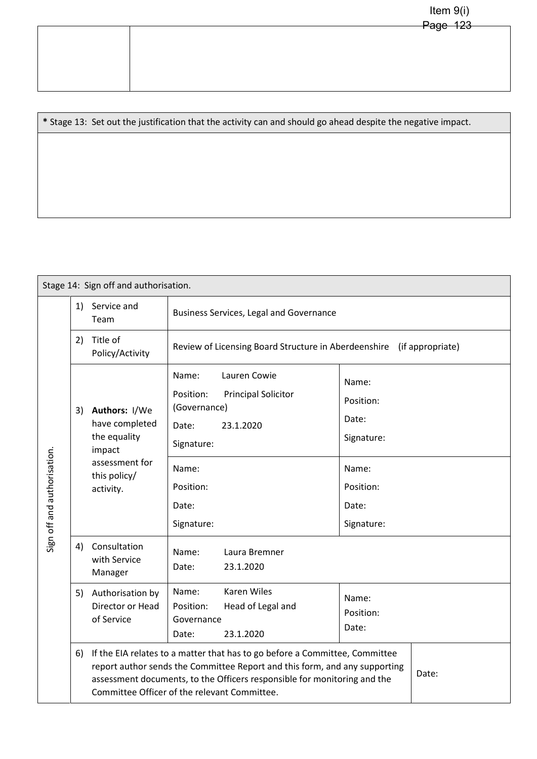|  | . 490 120 |
|--|-----------|
|  |           |
|  |           |
|  |           |
|  |           |
|  |           |
|  |           |
|  |           |

**\*** Stage 13: Set out the justification that the activity can and should go ahead despite the negative impact.

| Stage 14: Sign off and authorisation. |    |                                                                                                          |                                                                                                                                                                                                                                                                                       |                                                                                        |  |  |
|---------------------------------------|----|----------------------------------------------------------------------------------------------------------|---------------------------------------------------------------------------------------------------------------------------------------------------------------------------------------------------------------------------------------------------------------------------------------|----------------------------------------------------------------------------------------|--|--|
| Sign off and authorisation.           | 1) | Service and<br>Team                                                                                      | Business Services, Legal and Governance                                                                                                                                                                                                                                               |                                                                                        |  |  |
|                                       | 2) | Title of<br>Policy/Activity                                                                              | Review of Licensing Board Structure in Aberdeenshire (if appropriate)                                                                                                                                                                                                                 |                                                                                        |  |  |
|                                       | 3) | Authors: I/We<br>have completed<br>the equality<br>impact<br>assessment for<br>this policy/<br>activity. | Name:<br>Lauren Cowie<br>Position:<br><b>Principal Solicitor</b><br>(Governance)<br>Date:<br>23.1.2020<br>Signature:<br>Name:<br>Position:<br>Date:<br>Signature:                                                                                                                     | Name:<br>Position:<br>Date:<br>Signature:<br>Name:<br>Position:<br>Date:<br>Signature: |  |  |
|                                       | 4) | Consultation<br>with Service<br>Manager                                                                  | Name:<br>Laura Bremner<br>23.1.2020<br>Date:                                                                                                                                                                                                                                          |                                                                                        |  |  |
|                                       | 5) | Authorisation by<br>Director or Head<br>of Service                                                       | <b>Karen Wiles</b><br>Name:<br>Position:<br>Head of Legal and<br>Governance<br>23.1.2020<br>Date:                                                                                                                                                                                     | Name:<br>Position:<br>Date:                                                            |  |  |
|                                       | 6) |                                                                                                          | If the EIA relates to a matter that has to go before a Committee, Committee<br>report author sends the Committee Report and this form, and any supporting<br>assessment documents, to the Officers responsible for monitoring and the<br>Committee Officer of the relevant Committee. |                                                                                        |  |  |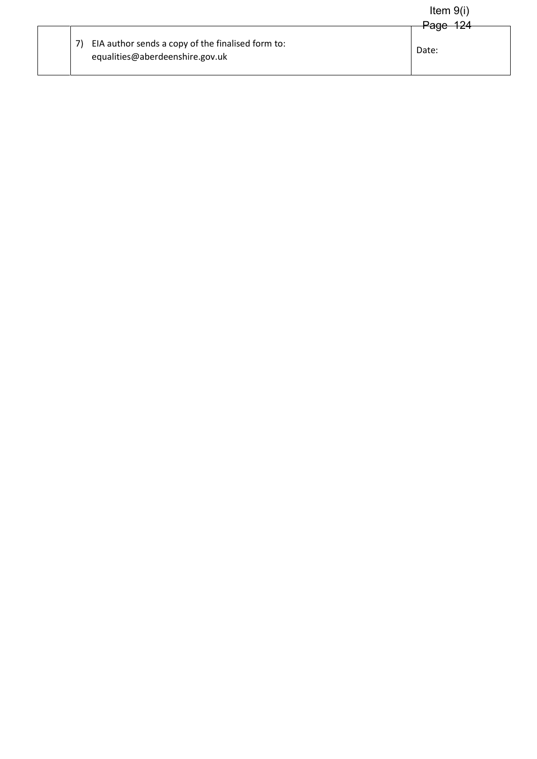|                                                                                      | Item $9(i)$       |
|--------------------------------------------------------------------------------------|-------------------|
| EIA author sends a copy of the finalised form to:<br>equalities@aberdeenshire.gov.uk | Page 124<br>Date: |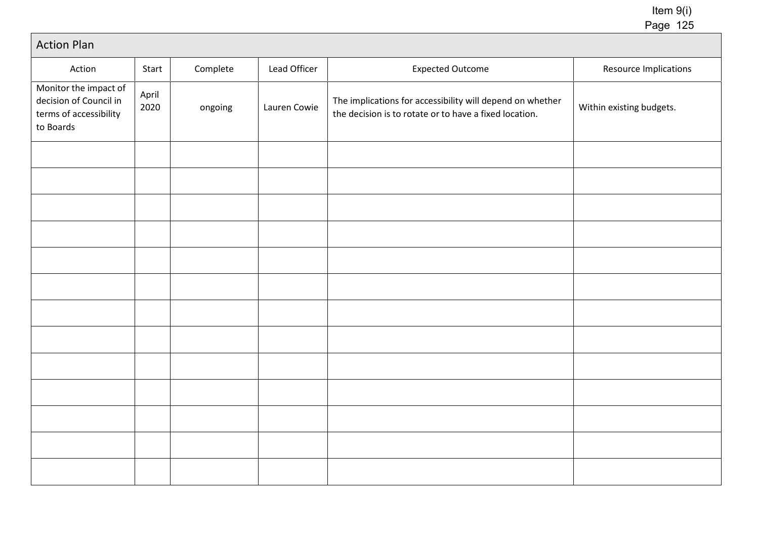# Action Plan

| Action                                                                                 | Start         | Complete | Lead Officer | <b>Expected Outcome</b>                                                                                             | Resource Implications    |
|----------------------------------------------------------------------------------------|---------------|----------|--------------|---------------------------------------------------------------------------------------------------------------------|--------------------------|
| Monitor the impact of<br>decision of Council in<br>terms of accessibility<br>to Boards | April<br>2020 | ongoing  | Lauren Cowie | The implications for accessibility will depend on whether<br>the decision is to rotate or to have a fixed location. | Within existing budgets. |
|                                                                                        |               |          |              |                                                                                                                     |                          |
|                                                                                        |               |          |              |                                                                                                                     |                          |
|                                                                                        |               |          |              |                                                                                                                     |                          |
|                                                                                        |               |          |              |                                                                                                                     |                          |
|                                                                                        |               |          |              |                                                                                                                     |                          |
|                                                                                        |               |          |              |                                                                                                                     |                          |
|                                                                                        |               |          |              |                                                                                                                     |                          |
|                                                                                        |               |          |              |                                                                                                                     |                          |
|                                                                                        |               |          |              |                                                                                                                     |                          |
|                                                                                        |               |          |              |                                                                                                                     |                          |
|                                                                                        |               |          |              |                                                                                                                     |                          |
|                                                                                        |               |          |              |                                                                                                                     |                          |
|                                                                                        |               |          |              |                                                                                                                     |                          |